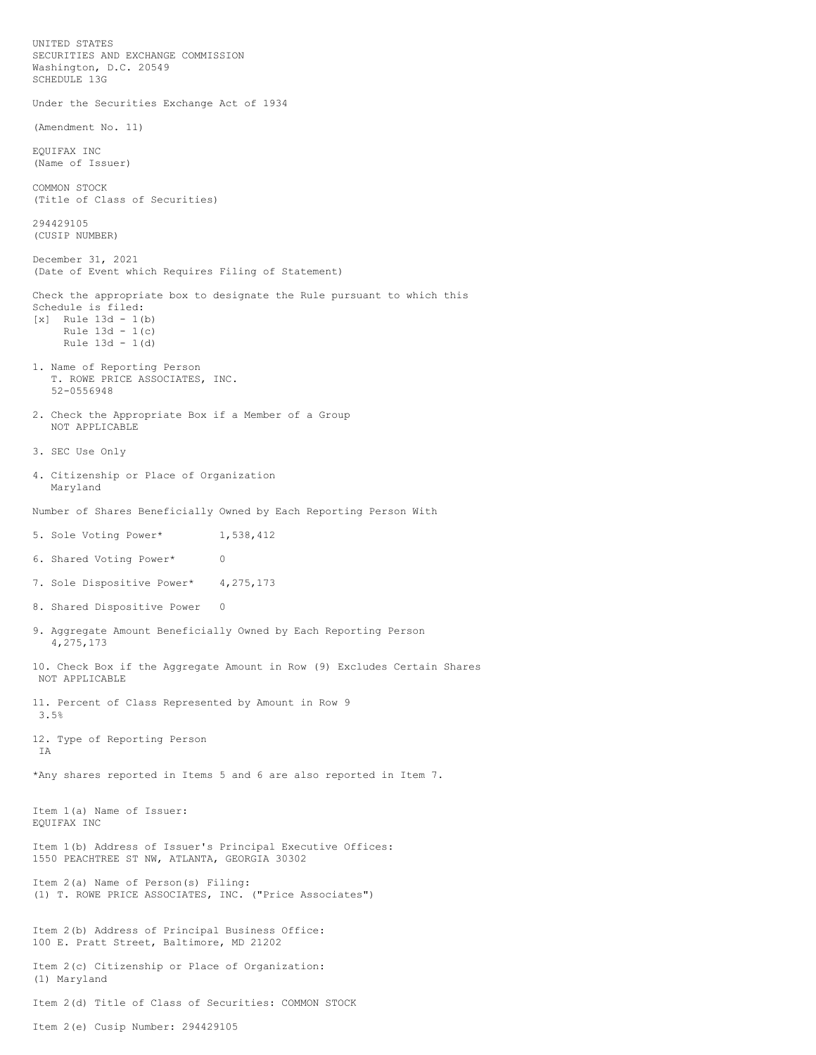UNITED STATES SECURITIES AND EXCHANGE COMMISSION Washington, D.C. 20549 SCHEDULE 13G Under the Securities Exchange Act of 1934 (Amendment No. 11) EQUIFAX INC (Name of Issuer) COMMON STOCK (Title of Class of Securities) 294429105 (CUSIP NUMBER) December 31, 2021 (Date of Event which Requires Filing of Statement) Check the appropriate box to designate the Rule pursuant to which this Schedule is filed: [x] Rule 13d - 1(b) Rule 13d - 1(c) Rule 13d - 1(d) 1. Name of Reporting Person T. ROWE PRICE ASSOCIATES, INC. 52-0556948 2. Check the Appropriate Box if a Member of a Group NOT APPLICABLE 3. SEC Use Only 4. Citizenship or Place of Organization Maryland Number of Shares Beneficially Owned by Each Reporting Person With 5. Sole Voting Power\* 1,538,412 6. Shared Voting Power\* 0 7. Sole Dispositive Power\* 4, 275, 173 8. Shared Dispositive Power 0 9. Aggregate Amount Beneficially Owned by Each Reporting Person 4,275,173 10. Check Box if the Aggregate Amount in Row (9) Excludes Certain Shares NOT APPLICABLE 11. Percent of Class Represented by Amount in Row 9 3.5% 12. Type of Reporting Person IA \*Any shares reported in Items 5 and 6 are also reported in Item 7. Item 1(a) Name of Issuer: EQUIFAX INC Item 1(b) Address of Issuer's Principal Executive Offices: 1550 PEACHTREE ST NW, ATLANTA, GEORGIA 30302 Item 2(a) Name of Person(s) Filing: (1) T. ROWE PRICE ASSOCIATES, INC. ("Price Associates") Item 2(b) Address of Principal Business Office: 100 E. Pratt Street, Baltimore, MD 21202 Item 2(c) Citizenship or Place of Organization: (1) Maryland Item 2(d) Title of Class of Securities: COMMON STOCK

Item 2(e) Cusip Number: 294429105